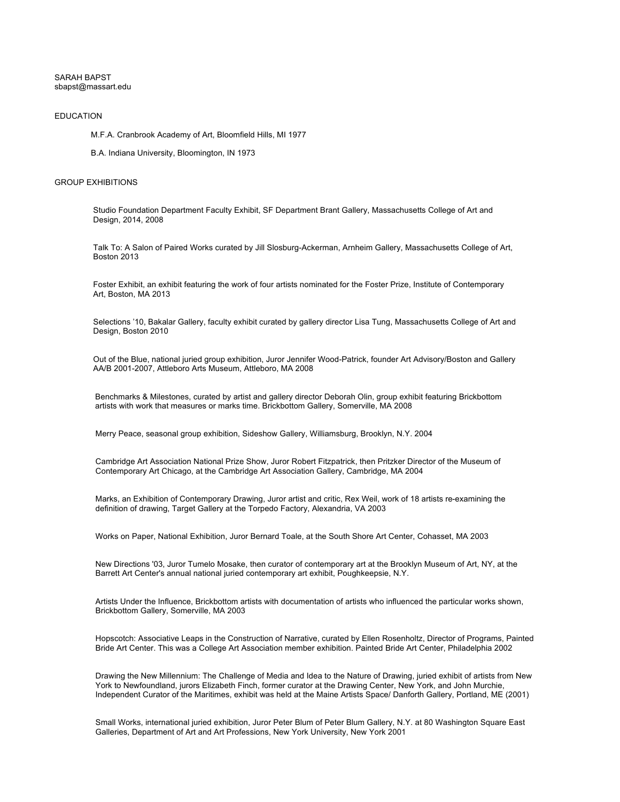## SARAH BAPST sbapst@massart.edu

## EDUCATION

M.F.A. Cranbrook Academy of Art, Bloomfield Hills, MI 1977

B.A. Indiana University, Bloomington, IN 1973

## GROUP EXHIBITIONS

Studio Foundation Department Faculty Exhibit, SF Department Brant Gallery, Massachusetts College of Art and Design, 2014, 2008

Talk To: A Salon of Paired Works curated by Jill Slosburg-Ackerman, Arnheim Gallery, Massachusetts College of Art, Boston 2013

Foster Exhibit, an exhibit featuring the work of four artists nominated for the Foster Prize, Institute of Contemporary Art, Boston, MA 2013

Selections '10, Bakalar Gallery, faculty exhibit curated by gallery director Lisa Tung, Massachusetts College of Art and Design, Boston 2010

Out of the Blue, national juried group exhibition, Juror Jennifer Wood-Patrick, founder Art Advisory/Boston and Gallery AA/B 2001-2007, Attleboro Arts Museum, Attleboro, MA 2008

Benchmarks & Milestones, curated by artist and gallery director Deborah Olin, group exhibit featuring Brickbottom artists with work that measures or marks time. Brickbottom Gallery, Somerville, MA 2008

Merry Peace, seasonal group exhibition, Sideshow Gallery, Williamsburg, Brooklyn, N.Y. 2004

Cambridge Art Association National Prize Show, Juror Robert Fitzpatrick, then Pritzker Director of the Museum of Contemporary Art Chicago, at the Cambridge Art Association Gallery, Cambridge, MA 2004

Marks, an Exhibition of Contemporary Drawing, Juror artist and critic, Rex Weil, work of 18 artists re-examining the definition of drawing, Target Gallery at the Torpedo Factory, Alexandria, VA 2003

Works on Paper, National Exhibition, Juror Bernard Toale, at the South Shore Art Center, Cohasset, MA 2003

New Directions '03, Juror Tumelo Mosake, then curator of contemporary art at the Brooklyn Museum of Art, NY, at the Barrett Art Center's annual national juried contemporary art exhibit, Poughkeepsie, N.Y.

Artists Under the Influence, Brickbottom artists with documentation of artists who influenced the particular works shown, Brickbottom Gallery, Somerville, MA 2003

Hopscotch: Associative Leaps in the Construction of Narrative, curated by Ellen Rosenholtz, Director of Programs, Painted Bride Art Center. This was a College Art Association member exhibition. Painted Bride Art Center, Philadelphia 2002

Drawing the New Millennium: The Challenge of Media and Idea to the Nature of Drawing, juried exhibit of artists from New York to Newfoundland, jurors Elizabeth Finch, former curator at the Drawing Center, New York, and John Murchie, Independent Curator of the Maritimes, exhibit was held at the Maine Artists Space/ Danforth Gallery, Portland, ME (2001)

Small Works, international juried exhibition, Juror Peter Blum of Peter Blum Gallery, N.Y. at 80 Washington Square East Galleries, Department of Art and Art Professions, New York University, New York 2001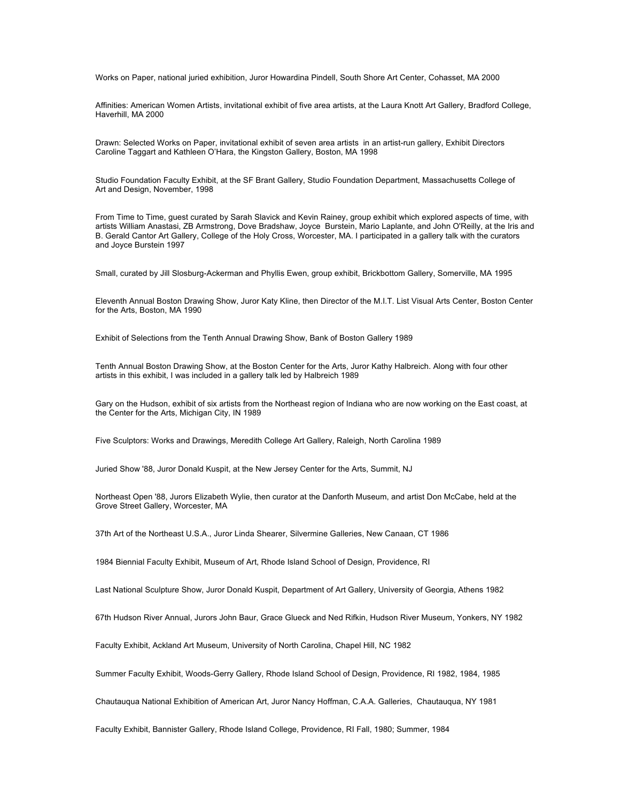Works on Paper, national juried exhibition, Juror Howardina Pindell, South Shore Art Center, Cohasset, MA 2000

Affinities: American Women Artists, invitational exhibit of five area artists, at the Laura Knott Art Gallery, Bradford College, Haverhill, MA 2000

Drawn: Selected Works on Paper, invitational exhibit of seven area artists in an artist-run gallery, Exhibit Directors Caroline Taggart and Kathleen O'Hara, the Kingston Gallery, Boston, MA 1998

Studio Foundation Faculty Exhibit, at the SF Brant Gallery, Studio Foundation Department, Massachusetts College of Art and Design, November, 1998

From Time to Time, guest curated by Sarah Slavick and Kevin Rainey, group exhibit which explored aspects of time, with artists William Anastasi, ZB Armstrong, Dove Bradshaw, Joyce Burstein, Mario Laplante, and John O'Reilly, at the Iris and B. Gerald Cantor Art Gallery, College of the Holy Cross, Worcester, MA. I participated in a gallery talk with the curators and Joyce Burstein 1997

Small, curated by Jill Slosburg-Ackerman and Phyllis Ewen, group exhibit, Brickbottom Gallery, Somerville, MA 1995

Eleventh Annual Boston Drawing Show, Juror Katy Kline, then Director of the M.I.T. List Visual Arts Center, Boston Center for the Arts, Boston, MA 1990

Exhibit of Selections from the Tenth Annual Drawing Show, Bank of Boston Gallery 1989

Tenth Annual Boston Drawing Show, at the Boston Center for the Arts, Juror Kathy Halbreich. Along with four other artists in this exhibit, I was included in a gallery talk led by Halbreich 1989

Gary on the Hudson, exhibit of six artists from the Northeast region of Indiana who are now working on the East coast, at the Center for the Arts, Michigan City, IN 1989

Five Sculptors: Works and Drawings, Meredith College Art Gallery, Raleigh, North Carolina 1989

Juried Show '88, Juror Donald Kuspit, at the New Jersey Center for the Arts, Summit, NJ

Northeast Open '88, Jurors Elizabeth Wylie, then curator at the Danforth Museum, and artist Don McCabe, held at the Grove Street Gallery, Worcester, MA

37th Art of the Northeast U.S.A., Juror Linda Shearer, Silvermine Galleries, New Canaan, CT 1986

1984 Biennial Faculty Exhibit, Museum of Art, Rhode Island School of Design, Providence, RI

Last National Sculpture Show, Juror Donald Kuspit, Department of Art Gallery, University of Georgia, Athens 1982

67th Hudson River Annual, Jurors John Baur, Grace Glueck and Ned Rifkin, Hudson River Museum, Yonkers, NY 1982

Faculty Exhibit, Ackland Art Museum, University of North Carolina, Chapel Hill, NC 1982

Summer Faculty Exhibit, Woods-Gerry Gallery, Rhode Island School of Design, Providence, RI 1982, 1984, 1985

Chautauqua National Exhibition of American Art, Juror Nancy Hoffman, C.A.A. Galleries, Chautauqua, NY 1981

Faculty Exhibit, Bannister Gallery, Rhode Island College, Providence, RI Fall, 1980; Summer, 1984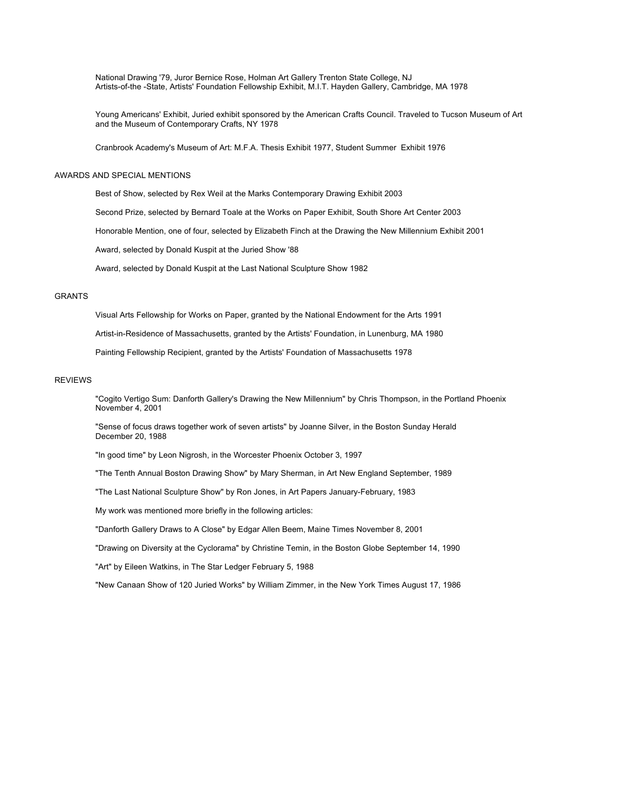National Drawing '79, Juror Bernice Rose, Holman Art Gallery Trenton State College, NJ Artists-of-the -State, Artists' Foundation Fellowship Exhibit, M.I.T. Hayden Gallery, Cambridge, MA 1978

Young Americans' Exhibit, Juried exhibit sponsored by the American Crafts Council. Traveled to Tucson Museum of Art and the Museum of Contemporary Crafts, NY 1978

Cranbrook Academy's Museum of Art: M.F.A. Thesis Exhibit 1977, Student Summer Exhibit 1976

### AWARDS AND SPECIAL MENTIONS

Best of Show, selected by Rex Weil at the Marks Contemporary Drawing Exhibit 2003

Second Prize, selected by Bernard Toale at the Works on Paper Exhibit, South Shore Art Center 2003

Honorable Mention, one of four, selected by Elizabeth Finch at the Drawing the New Millennium Exhibit 2001

Award, selected by Donald Kuspit at the Juried Show '88

Award, selected by Donald Kuspit at the Last National Sculpture Show 1982

# GRANTS

Visual Arts Fellowship for Works on Paper, granted by the National Endowment for the Arts 1991

Artist-in-Residence of Massachusetts, granted by the Artists' Foundation, in Lunenburg, MA 1980

Painting Fellowship Recipient, granted by the Artists' Foundation of Massachusetts 1978

## REVIEWS

"Cogito Vertigo Sum: Danforth Gallery's Drawing the New Millennium" by Chris Thompson, in the Portland Phoenix November 4, 2001

"Sense of focus draws together work of seven artists" by Joanne Silver, in the Boston Sunday Herald December 20, 1988

"In good time" by Leon Nigrosh, in the Worcester Phoenix October 3, 1997

"The Tenth Annual Boston Drawing Show" by Mary Sherman, in Art New England September, 1989

"The Last National Sculpture Show" by Ron Jones, in Art Papers January-February, 1983

My work was mentioned more briefly in the following articles:

"Danforth Gallery Draws to A Close" by Edgar Allen Beem, Maine Times November 8, 2001

"Drawing on Diversity at the Cyclorama" by Christine Temin, in the Boston Globe September 14, 1990

"Art" by Eileen Watkins, in The Star Ledger February 5, 1988

"New Canaan Show of 120 Juried Works" by William Zimmer, in the New York Times August 17, 1986